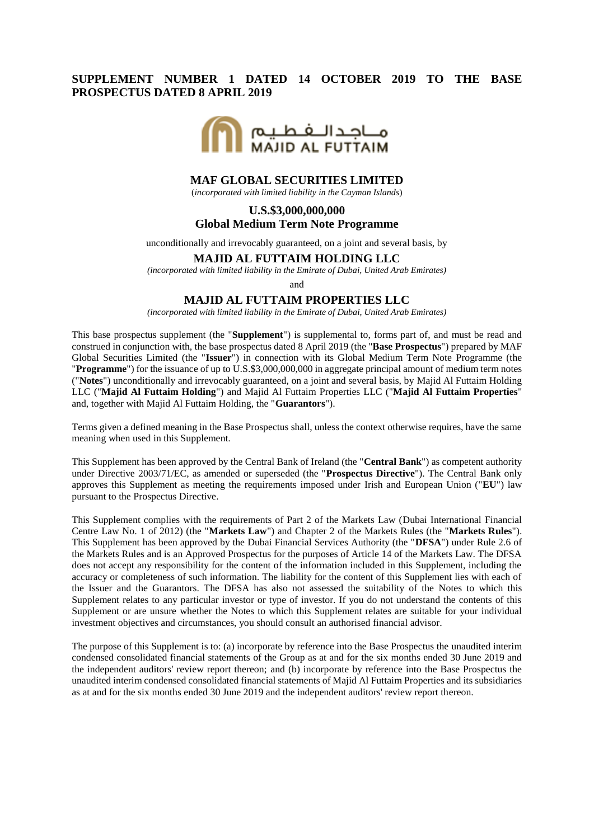# **SUPPLEMENT NUMBER 1 DATED 14 OCTOBER 2019 TO THE BASE PROSPECTUS DATED 8 APRIL 2019**



### **MAF GLOBAL SECURITIES LIMITED**

(*incorporated with limited liability in the Cayman Islands*)

### **U.S.\$3,000,000,000 Global Medium Term Note Programme**

unconditionally and irrevocably guaranteed, on a joint and several basis, by

#### **MAJID AL FUTTAIM HOLDING LLC**

*(incorporated with limited liability in the Emirate of Dubai, United Arab Emirates)*

and

#### **MAJID AL FUTTAIM PROPERTIES LLC**

*(incorporated with limited liability in the Emirate of Dubai, United Arab Emirates)*

This base prospectus supplement (the "**Supplement**") is supplemental to, forms part of, and must be read and construed in conjunction with, the base prospectus dated 8 April 2019 (the "**Base Prospectus**") prepared by MAF Global Securities Limited (the "**Issuer**") in connection with its Global Medium Term Note Programme (the "**Programme**") for the issuance of up to U.S.\$3,000,000,000 in aggregate principal amount of medium term notes ("**Notes**") unconditionally and irrevocably guaranteed, on a joint and several basis, by Majid Al Futtaim Holding LLC ("**Majid Al Futtaim Holding**") and Majid Al Futtaim Properties LLC ("**Majid Al Futtaim Properties**" and, together with Majid Al Futtaim Holding, the "**Guarantors**").

Terms given a defined meaning in the Base Prospectus shall, unless the context otherwise requires, have the same meaning when used in this Supplement.

This Supplement has been approved by the Central Bank of Ireland (the "**Central Bank**") as competent authority under Directive 2003/71/EC, as amended or superseded (the "**Prospectus Directive**"). The Central Bank only approves this Supplement as meeting the requirements imposed under Irish and European Union ("**EU**") law pursuant to the Prospectus Directive.

This Supplement complies with the requirements of Part 2 of the Markets Law (Dubai International Financial Centre Law No. 1 of 2012) (the "**Markets Law**") and Chapter 2 of the Markets Rules (the "**Markets Rules**"). This Supplement has been approved by the Dubai Financial Services Authority (the "**DFSA**") under Rule 2.6 of the Markets Rules and is an Approved Prospectus for the purposes of Article 14 of the Markets Law. The DFSA does not accept any responsibility for the content of the information included in this Supplement, including the accuracy or completeness of such information. The liability for the content of this Supplement lies with each of the Issuer and the Guarantors. The DFSA has also not assessed the suitability of the Notes to which this Supplement relates to any particular investor or type of investor. If you do not understand the contents of this Supplement or are unsure whether the Notes to which this Supplement relates are suitable for your individual investment objectives and circumstances, you should consult an authorised financial advisor.

The purpose of this Supplement is to: (a) incorporate by reference into the Base Prospectus the unaudited interim condensed consolidated financial statements of the Group as at and for the six months ended 30 June 2019 and the independent auditors' review report thereon; and (b) incorporate by reference into the Base Prospectus the unaudited interim condensed consolidated financial statements of Majid Al Futtaim Properties and its subsidiaries as at and for the six months ended 30 June 2019 and the independent auditors' review report thereon.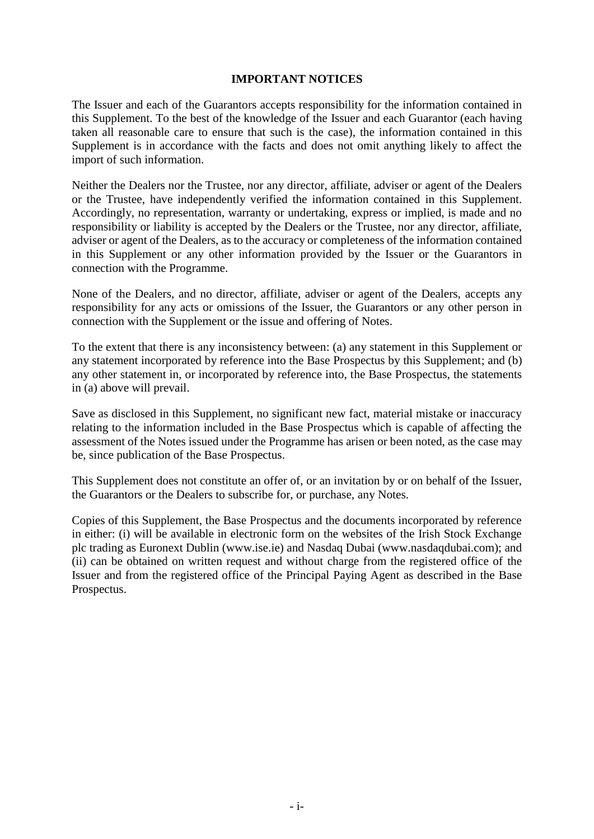## **IMPORTANT NOTICES**

The Issuer and each of the Guarantors accepts responsibility for the information contained in this Supplement. To the best of the knowledge of the Issuer and each Guarantor (each having taken all reasonable care to ensure that such is the case), the information contained in this Supplement is in accordance with the facts and does not omit anything likely to affect the import of such information.

Neither the Dealers nor the Trustee, nor any director, affiliate, adviser or agent of the Dealers or the Trustee, have independently verified the information contained in this Supplement. Accordingly, no representation, warranty or undertaking, express or implied, is made and no responsibility or liability is accepted by the Dealers or the Trustee, nor any director, affiliate, adviser or agent of the Dealers, as to the accuracy or completeness of the information contained in this Supplement or any other information provided by the Issuer or the Guarantors in connection with the Programme.

None of the Dealers, and no director, affiliate, adviser or agent of the Dealers, accepts any responsibility for any acts or omissions of the Issuer, the Guarantors or any other person in connection with the Supplement or the issue and offering of Notes.

To the extent that there is any inconsistency between: (a) any statement in this Supplement or any statement incorporated by reference into the Base Prospectus by this Supplement; and (b) any other statement in, or incorporated by reference into, the Base Prospectus, the statements in (a) above will prevail.

Save as disclosed in this Supplement, no significant new fact, material mistake or inaccuracy relating to the information included in the Base Prospectus which is capable of affecting the assessment of the Notes issued under the Programme has arisen or been noted, as the case may be, since publication of the Base Prospectus.

This Supplement does not constitute an offer of, or an invitation by or on behalf of the Issuer, the Guarantors or the Dealers to subscribe for, or purchase, any Notes.

Copies of this Supplement, the Base Prospectus and the documents incorporated by reference in either: (i) will be available in electronic form on the websites of the Irish Stock Exchange plc trading as Euronext Dublin (www.ise.ie) and Nasdaq Dubai (www.nasdaqdubai.com); and (ii) can be obtained on written request and without charge from the registered office of the Issuer and from the registered office of the Principal Paying Agent as described in the Base Prospectus.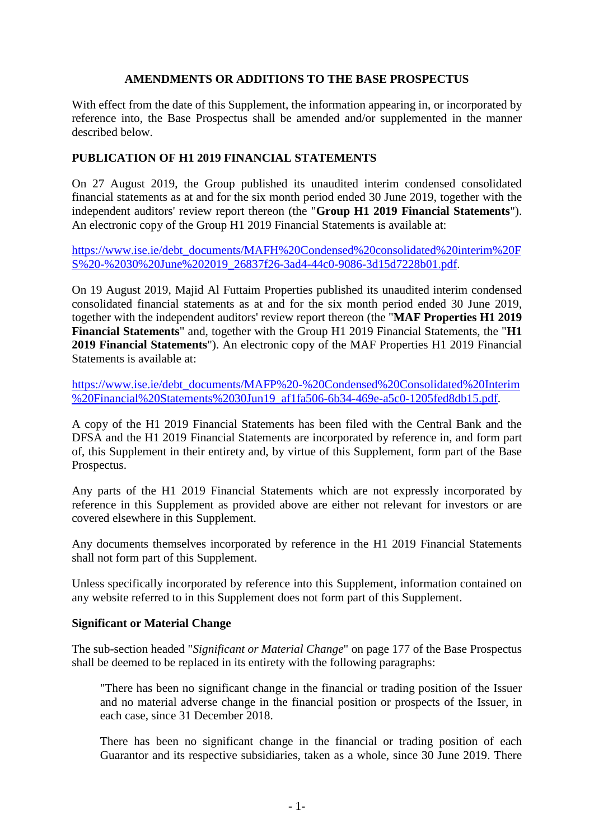# **AMENDMENTS OR ADDITIONS TO THE BASE PROSPECTUS**

With effect from the date of this Supplement, the information appearing in, or incorporated by reference into, the Base Prospectus shall be amended and/or supplemented in the manner described below.

# **PUBLICATION OF H1 2019 FINANCIAL STATEMENTS**

On 27 August 2019, the Group published its unaudited interim condensed consolidated financial statements as at and for the six month period ended 30 June 2019, together with the independent auditors' review report thereon (the "**Group H1 2019 Financial Statements**"). An electronic copy of the Group H1 2019 Financial Statements is available at:

[https://www.ise.ie/debt\\_documents/MAFH%20Condensed%20consolidated%20interim%20F](https://www.ise.ie/debt_documents/MAFH%20Condensed%20consolidated%20interim%20FS%20-%2030%20June%202019_26837f26-3ad4-44c0-9086-3d15d7228b01.pdf) [S%20-%2030%20June%202019\\_26837f26-3ad4-44c0-9086-3d15d7228b01.pdf.](https://www.ise.ie/debt_documents/MAFH%20Condensed%20consolidated%20interim%20FS%20-%2030%20June%202019_26837f26-3ad4-44c0-9086-3d15d7228b01.pdf)

On 19 August 2019, Majid Al Futtaim Properties published its unaudited interim condensed consolidated financial statements as at and for the six month period ended 30 June 2019, together with the independent auditors' review report thereon (the "**MAF Properties H1 2019 Financial Statements**" and, together with the Group H1 2019 Financial Statements, the "**H1 2019 Financial Statements**"). An electronic copy of the MAF Properties H1 2019 Financial Statements is available at:

[https://www.ise.ie/debt\\_documents/MAFP%20-%20Condensed%20Consolidated%20Interim](https://www.ise.ie/debt_documents/MAFP%20-%20Condensed%20Consolidated%20Interim%20Financial%20Statements%2030Jun19_af1fa506-6b34-469e-a5c0-1205fed8db15.pdf) [%20Financial%20Statements%2030Jun19\\_af1fa506-6b34-469e-a5c0-1205fed8db15.pdf.](https://www.ise.ie/debt_documents/MAFP%20-%20Condensed%20Consolidated%20Interim%20Financial%20Statements%2030Jun19_af1fa506-6b34-469e-a5c0-1205fed8db15.pdf)

A copy of the H1 2019 Financial Statements has been filed with the Central Bank and the DFSA and the H1 2019 Financial Statements are incorporated by reference in, and form part of, this Supplement in their entirety and, by virtue of this Supplement, form part of the Base Prospectus.

Any parts of the H1 2019 Financial Statements which are not expressly incorporated by reference in this Supplement as provided above are either not relevant for investors or are covered elsewhere in this Supplement.

Any documents themselves incorporated by reference in the H1 2019 Financial Statements shall not form part of this Supplement.

Unless specifically incorporated by reference into this Supplement, information contained on any website referred to in this Supplement does not form part of this Supplement.

## **Significant or Material Change**

The sub-section headed "*Significant or Material Change*" on page 177 of the Base Prospectus shall be deemed to be replaced in its entirety with the following paragraphs:

"There has been no significant change in the financial or trading position of the Issuer and no material adverse change in the financial position or prospects of the Issuer, in each case, since 31 December 2018.

There has been no significant change in the financial or trading position of each Guarantor and its respective subsidiaries, taken as a whole, since 30 June 2019. There